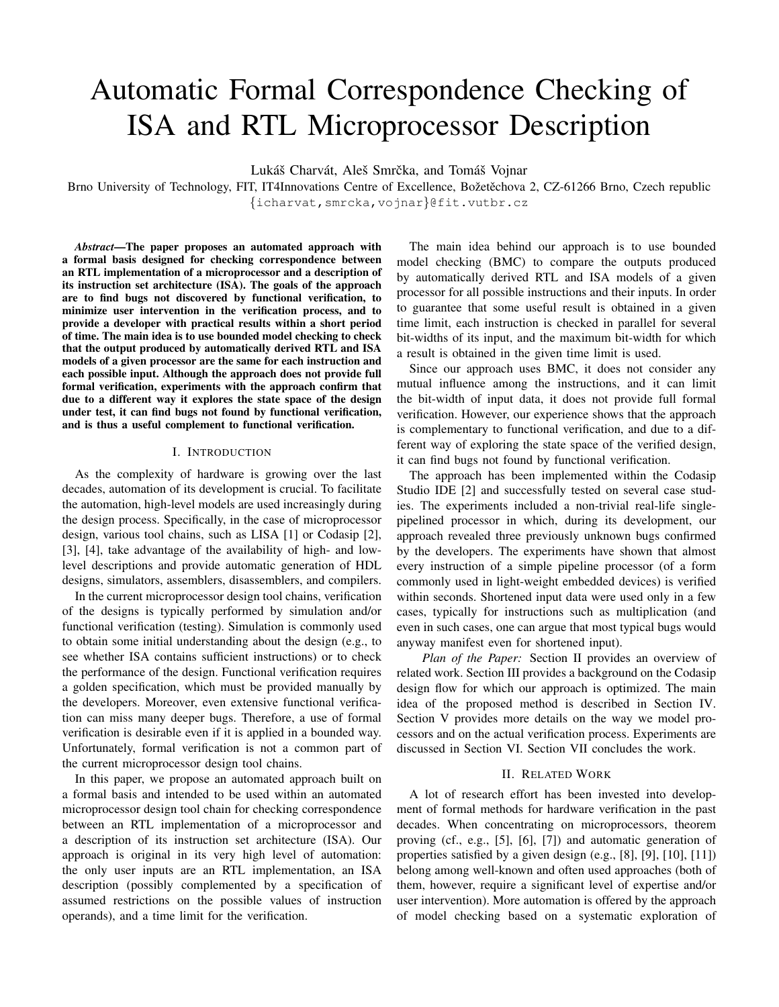# Automatic Formal Correspondence Checking of ISA and RTL Microprocessor Description

Lukáš Charvát, Aleš Smrčka, and Tomáš Vojnar

Brno University of Technology, FIT, IT4Innovations Centre of Excellence, Božetěchova 2, CZ-61266 Brno, Czech republic {icharvat,smrcka,vojnar}@fit.vutbr.cz

*Abstract*—The paper proposes an automated approach with a formal basis designed for checking correspondence between an RTL implementation of a microprocessor and a description of its instruction set architecture (ISA). The goals of the approach are to find bugs not discovered by functional verification, to minimize user intervention in the verification process, and to provide a developer with practical results within a short period of time. The main idea is to use bounded model checking to check that the output produced by automatically derived RTL and ISA models of a given processor are the same for each instruction and each possible input. Although the approach does not provide full formal verification, experiments with the approach confirm that due to a different way it explores the state space of the design under test, it can find bugs not found by functional verification, and is thus a useful complement to functional verification.

#### I. INTRODUCTION

As the complexity of hardware is growing over the last decades, automation of its development is crucial. To facilitate the automation, high-level models are used increasingly during the design process. Specifically, in the case of microprocessor design, various tool chains, such as LISA [1] or Codasip [2], [3], [4], take advantage of the availability of high- and lowlevel descriptions and provide automatic generation of HDL designs, simulators, assemblers, disassemblers, and compilers.

In the current microprocessor design tool chains, verification of the designs is typically performed by simulation and/or functional verification (testing). Simulation is commonly used to obtain some initial understanding about the design (e.g., to see whether ISA contains sufficient instructions) or to check the performance of the design. Functional verification requires a golden specification, which must be provided manually by the developers. Moreover, even extensive functional verification can miss many deeper bugs. Therefore, a use of formal verification is desirable even if it is applied in a bounded way. Unfortunately, formal verification is not a common part of the current microprocessor design tool chains.

In this paper, we propose an automated approach built on a formal basis and intended to be used within an automated microprocessor design tool chain for checking correspondence between an RTL implementation of a microprocessor and a description of its instruction set architecture (ISA). Our approach is original in its very high level of automation: the only user inputs are an RTL implementation, an ISA description (possibly complemented by a specification of assumed restrictions on the possible values of instruction operands), and a time limit for the verification.

The main idea behind our approach is to use bounded model checking (BMC) to compare the outputs produced by automatically derived RTL and ISA models of a given processor for all possible instructions and their inputs. In order to guarantee that some useful result is obtained in a given time limit, each instruction is checked in parallel for several bit-widths of its input, and the maximum bit-width for which a result is obtained in the given time limit is used.

Since our approach uses BMC, it does not consider any mutual influence among the instructions, and it can limit the bit-width of input data, it does not provide full formal verification. However, our experience shows that the approach is complementary to functional verification, and due to a different way of exploring the state space of the verified design, it can find bugs not found by functional verification.

The approach has been implemented within the Codasip Studio IDE [2] and successfully tested on several case studies. The experiments included a non-trivial real-life singlepipelined processor in which, during its development, our approach revealed three previously unknown bugs confirmed by the developers. The experiments have shown that almost every instruction of a simple pipeline processor (of a form commonly used in light-weight embedded devices) is verified within seconds. Shortened input data were used only in a few cases, typically for instructions such as multiplication (and even in such cases, one can argue that most typical bugs would anyway manifest even for shortened input).

*Plan of the Paper:* Section II provides an overview of related work. Section III provides a background on the Codasip design flow for which our approach is optimized. The main idea of the proposed method is described in Section IV. Section V provides more details on the way we model processors and on the actual verification process. Experiments are discussed in Section VI. Section VII concludes the work.

## II. RELATED WORK

A lot of research effort has been invested into development of formal methods for hardware verification in the past decades. When concentrating on microprocessors, theorem proving (cf., e.g., [5], [6], [7]) and automatic generation of properties satisfied by a given design (e.g., [8], [9], [10], [11]) belong among well-known and often used approaches (both of them, however, require a significant level of expertise and/or user intervention). More automation is offered by the approach of model checking based on a systematic exploration of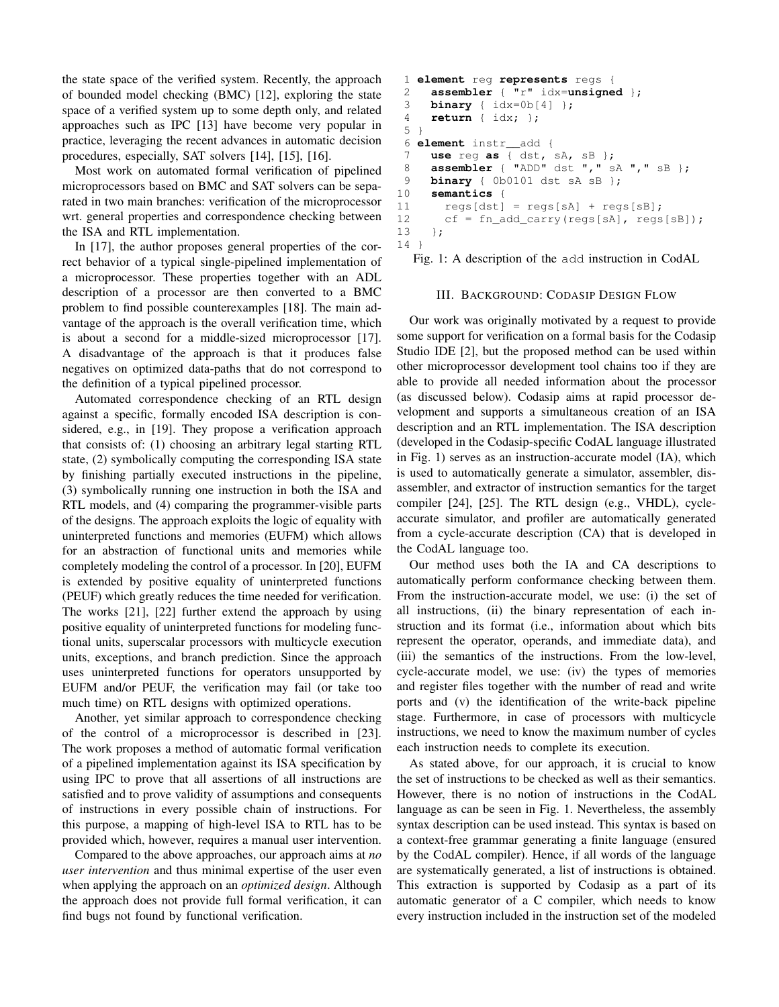the state space of the verified system. Recently, the approach of bounded model checking (BMC) [12], exploring the state space of a verified system up to some depth only, and related approaches such as IPC [13] have become very popular in practice, leveraging the recent advances in automatic decision procedures, especially, SAT solvers [14], [15], [16].

Most work on automated formal verification of pipelined microprocessors based on BMC and SAT solvers can be separated in two main branches: verification of the microprocessor wrt. general properties and correspondence checking between the ISA and RTL implementation.

In [17], the author proposes general properties of the correct behavior of a typical single-pipelined implementation of a microprocessor. These properties together with an ADL description of a processor are then converted to a BMC problem to find possible counterexamples [18]. The main advantage of the approach is the overall verification time, which is about a second for a middle-sized microprocessor [17]. A disadvantage of the approach is that it produces false negatives on optimized data-paths that do not correspond to the definition of a typical pipelined processor.

Automated correspondence checking of an RTL design against a specific, formally encoded ISA description is considered, e.g., in [19]. They propose a verification approach that consists of: (1) choosing an arbitrary legal starting RTL state, (2) symbolically computing the corresponding ISA state by finishing partially executed instructions in the pipeline, (3) symbolically running one instruction in both the ISA and RTL models, and (4) comparing the programmer-visible parts of the designs. The approach exploits the logic of equality with uninterpreted functions and memories (EUFM) which allows for an abstraction of functional units and memories while completely modeling the control of a processor. In [20], EUFM is extended by positive equality of uninterpreted functions (PEUF) which greatly reduces the time needed for verification. The works [21], [22] further extend the approach by using positive equality of uninterpreted functions for modeling functional units, superscalar processors with multicycle execution units, exceptions, and branch prediction. Since the approach uses uninterpreted functions for operators unsupported by EUFM and/or PEUF, the verification may fail (or take too much time) on RTL designs with optimized operations.

Another, yet similar approach to correspondence checking of the control of a microprocessor is described in [23]. The work proposes a method of automatic formal verification of a pipelined implementation against its ISA specification by using IPC to prove that all assertions of all instructions are satisfied and to prove validity of assumptions and consequents of instructions in every possible chain of instructions. For this purpose, a mapping of high-level ISA to RTL has to be provided which, however, requires a manual user intervention.

Compared to the above approaches, our approach aims at *no user intervention* and thus minimal expertise of the user even when applying the approach on an *optimized design*. Although the approach does not provide full formal verification, it can find bugs not found by functional verification.

```
1 element reg represents regs {
2 assembler { "r" idx=unsigned };
3 binary { idx=0b[4] };
 4 return { idx; };
5 }
 6 element instr__add {
 7 use reg as { dst, sA, sB };
 8 assembler { "ADD" dst "," sA "," sB };
 9 binary { 0b0101 dst sA sB };
10 semantics {
11 regs[dst] = regs[sh] + regs[sb];12 cf = fn_add_carry(regs[sA], regs[sB]);
13 };
14 }
```
Fig. 1: A description of the add instruction in CodAL

#### III. BACKGROUND: CODASIP DESIGN FLOW

Our work was originally motivated by a request to provide some support for verification on a formal basis for the Codasip Studio IDE [2], but the proposed method can be used within other microprocessor development tool chains too if they are able to provide all needed information about the processor (as discussed below). Codasip aims at rapid processor development and supports a simultaneous creation of an ISA description and an RTL implementation. The ISA description (developed in the Codasip-specific CodAL language illustrated in Fig. 1) serves as an instruction-accurate model (IA), which is used to automatically generate a simulator, assembler, disassembler, and extractor of instruction semantics for the target compiler [24], [25]. The RTL design (e.g., VHDL), cycleaccurate simulator, and profiler are automatically generated from a cycle-accurate description (CA) that is developed in the CodAL language too.

Our method uses both the IA and CA descriptions to automatically perform conformance checking between them. From the instruction-accurate model, we use: (i) the set of all instructions, (ii) the binary representation of each instruction and its format (i.e., information about which bits represent the operator, operands, and immediate data), and (iii) the semantics of the instructions. From the low-level, cycle-accurate model, we use: (iv) the types of memories and register files together with the number of read and write ports and (v) the identification of the write-back pipeline stage. Furthermore, in case of processors with multicycle instructions, we need to know the maximum number of cycles each instruction needs to complete its execution.

As stated above, for our approach, it is crucial to know the set of instructions to be checked as well as their semantics. However, there is no notion of instructions in the CodAL language as can be seen in Fig. 1. Nevertheless, the assembly syntax description can be used instead. This syntax is based on a context-free grammar generating a finite language (ensured by the CodAL compiler). Hence, if all words of the language are systematically generated, a list of instructions is obtained. This extraction is supported by Codasip as a part of its automatic generator of a C compiler, which needs to know every instruction included in the instruction set of the modeled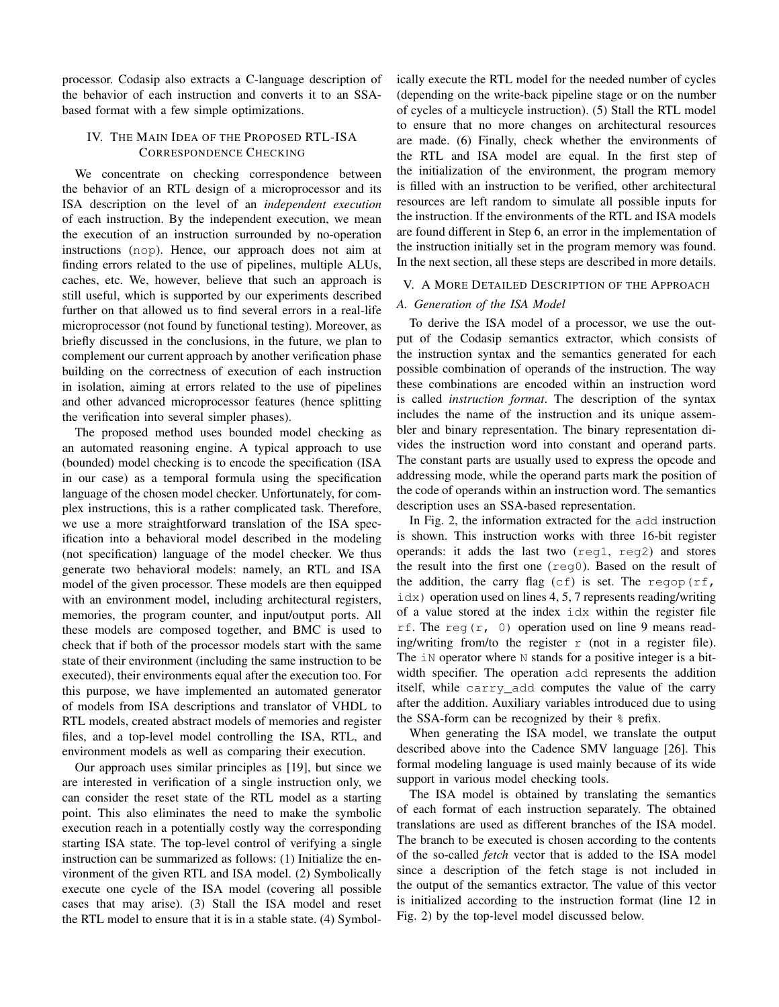processor. Codasip also extracts a C-language description of the behavior of each instruction and converts it to an SSAbased format with a few simple optimizations.

# IV. THE MAIN IDEA OF THE PROPOSED RTL-ISA CORRESPONDENCE CHECKING

We concentrate on checking correspondence between the behavior of an RTL design of a microprocessor and its ISA description on the level of an *independent execution* of each instruction. By the independent execution, we mean the execution of an instruction surrounded by no-operation instructions (nop). Hence, our approach does not aim at finding errors related to the use of pipelines, multiple ALUs, caches, etc. We, however, believe that such an approach is still useful, which is supported by our experiments described further on that allowed us to find several errors in a real-life microprocessor (not found by functional testing). Moreover, as briefly discussed in the conclusions, in the future, we plan to complement our current approach by another verification phase building on the correctness of execution of each instruction in isolation, aiming at errors related to the use of pipelines and other advanced microprocessor features (hence splitting the verification into several simpler phases).

The proposed method uses bounded model checking as an automated reasoning engine. A typical approach to use (bounded) model checking is to encode the specification (ISA in our case) as a temporal formula using the specification language of the chosen model checker. Unfortunately, for complex instructions, this is a rather complicated task. Therefore, we use a more straightforward translation of the ISA specification into a behavioral model described in the modeling (not specification) language of the model checker. We thus generate two behavioral models: namely, an RTL and ISA model of the given processor. These models are then equipped with an environment model, including architectural registers, memories, the program counter, and input/output ports. All these models are composed together, and BMC is used to check that if both of the processor models start with the same state of their environment (including the same instruction to be executed), their environments equal after the execution too. For this purpose, we have implemented an automated generator of models from ISA descriptions and translator of VHDL to RTL models, created abstract models of memories and register files, and a top-level model controlling the ISA, RTL, and environment models as well as comparing their execution.

Our approach uses similar principles as [19], but since we are interested in verification of a single instruction only, we can consider the reset state of the RTL model as a starting point. This also eliminates the need to make the symbolic execution reach in a potentially costly way the corresponding starting ISA state. The top-level control of verifying a single instruction can be summarized as follows: (1) Initialize the environment of the given RTL and ISA model. (2) Symbolically execute one cycle of the ISA model (covering all possible cases that may arise). (3) Stall the ISA model and reset the RTL model to ensure that it is in a stable state. (4) Symbolically execute the RTL model for the needed number of cycles (depending on the write-back pipeline stage or on the number of cycles of a multicycle instruction). (5) Stall the RTL model to ensure that no more changes on architectural resources are made. (6) Finally, check whether the environments of the RTL and ISA model are equal. In the first step of the initialization of the environment, the program memory is filled with an instruction to be verified, other architectural resources are left random to simulate all possible inputs for the instruction. If the environments of the RTL and ISA models are found different in Step 6, an error in the implementation of the instruction initially set in the program memory was found. In the next section, all these steps are described in more details.

## V. A MORE DETAILED DESCRIPTION OF THE APPROACH

# *A. Generation of the ISA Model*

To derive the ISA model of a processor, we use the output of the Codasip semantics extractor, which consists of the instruction syntax and the semantics generated for each possible combination of operands of the instruction. The way these combinations are encoded within an instruction word is called *instruction format*. The description of the syntax includes the name of the instruction and its unique assembler and binary representation. The binary representation divides the instruction word into constant and operand parts. The constant parts are usually used to express the opcode and addressing mode, while the operand parts mark the position of the code of operands within an instruction word. The semantics description uses an SSA-based representation.

In Fig. 2, the information extracted for the add instruction is shown. This instruction works with three 16-bit register operands: it adds the last two (reg1, reg2) and stores the result into the first one (reg0). Based on the result of the addition, the carry flag  $(cf)$  is set. The regop(rf, idx) operation used on lines 4, 5, 7 represents reading/writing of a value stored at the index idx within the register file rf. The reg(r, 0) operation used on line 9 means reading/writing from/to the register  $r$  (not in a register file). The iN operator where N stands for a positive integer is a bitwidth specifier. The operation add represents the addition itself, while carry add computes the value of the carry after the addition. Auxiliary variables introduced due to using the SSA-form can be recognized by their % prefix.

When generating the ISA model, we translate the output described above into the Cadence SMV language [26]. This formal modeling language is used mainly because of its wide support in various model checking tools.

The ISA model is obtained by translating the semantics of each format of each instruction separately. The obtained translations are used as different branches of the ISA model. The branch to be executed is chosen according to the contents of the so-called *fetch* vector that is added to the ISA model since a description of the fetch stage is not included in the output of the semantics extractor. The value of this vector is initialized according to the instruction format (line 12 in Fig. 2) by the top-level model discussed below.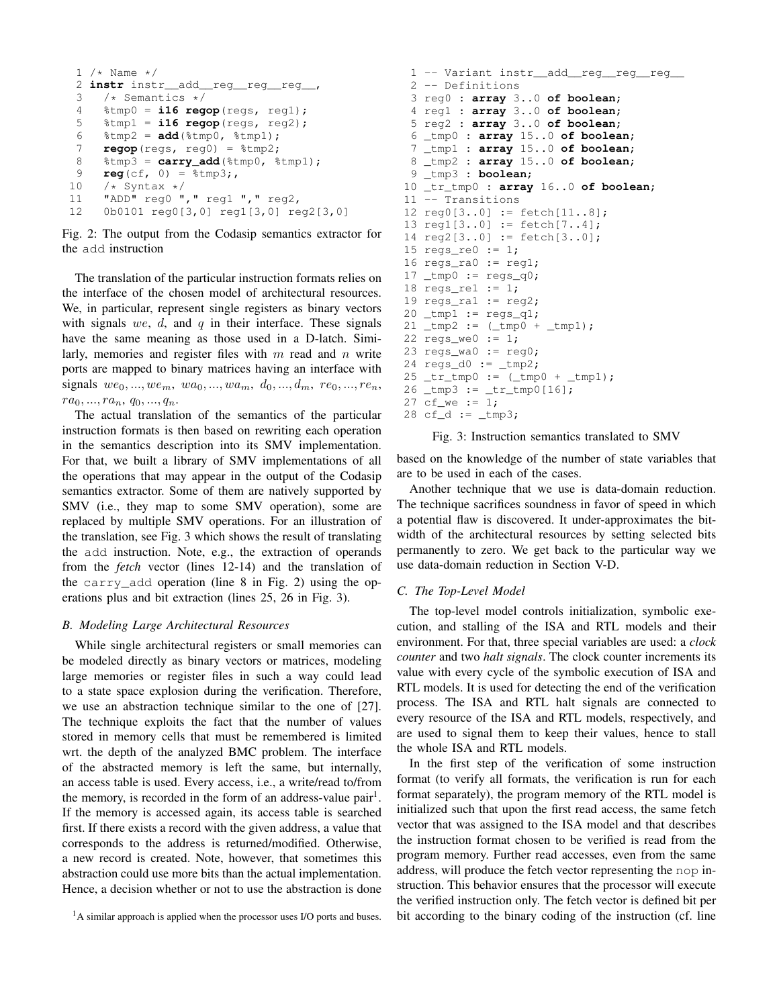```
1 / * Name */2 instr instr__add__reg__reg__reg__,
 3 /* Semantics */<br>4 % tmp0 = i16 req
     %tmp0 = i16~regop(res, reg1);5 %tmp1 = i16 regop(regs, reg2);
 6 %tmp2 = add(%tmp0, %tmp1);
 7 regop(regs, reg0) = %tmp2;
 8 %tmp3 = carry_add(%tmp0, %tmp1);
 9 reg(cf, 0) = %tmp3;,
10 /* Syntax */<br>11 "ADD" reg0"
     "ADD" reg0 ", " reg1 ", " reg2,
12 0b0101 reg0[3,0] reg1[3,0] reg2[3,0]
```
Fig. 2: The output from the Codasip semantics extractor for the add instruction

The translation of the particular instruction formats relies on the interface of the chosen model of architectural resources. We, in particular, represent single registers as binary vectors with signals we,  $d$ , and  $q$  in their interface. These signals have the same meaning as those used in a D-latch. Similarly, memories and register files with  $m$  read and  $n$  write ports are mapped to binary matrices having an interface with signals  $we_0, ..., we_m, wa_0, ..., wa_m, d_0, ..., d_m, re_0, ..., re_n,$  $ra_0, ..., ra_n, q_0, ..., q_n.$ 

The actual translation of the semantics of the particular instruction formats is then based on rewriting each operation in the semantics description into its SMV implementation. For that, we built a library of SMV implementations of all the operations that may appear in the output of the Codasip semantics extractor. Some of them are natively supported by SMV (i.e., they map to some SMV operation), some are replaced by multiple SMV operations. For an illustration of the translation, see Fig. 3 which shows the result of translating the add instruction. Note, e.g., the extraction of operands from the *fetch* vector (lines 12-14) and the translation of the carry add operation (line  $8$  in Fig. 2) using the operations plus and bit extraction (lines 25, 26 in Fig. 3).

## *B. Modeling Large Architectural Resources*

While single architectural registers or small memories can be modeled directly as binary vectors or matrices, modeling large memories or register files in such a way could lead to a state space explosion during the verification. Therefore, we use an abstraction technique similar to the one of [27]. The technique exploits the fact that the number of values stored in memory cells that must be remembered is limited wrt. the depth of the analyzed BMC problem. The interface of the abstracted memory is left the same, but internally, an access table is used. Every access, i.e., a write/read to/from the memory, is recorded in the form of an address-value  $pair<sup>1</sup>$ . If the memory is accessed again, its access table is searched first. If there exists a record with the given address, a value that corresponds to the address is returned/modified. Otherwise, a new record is created. Note, however, that sometimes this abstraction could use more bits than the actual implementation. Hence, a decision whether or not to use the abstraction is done

```
<sup>1</sup>A similar approach is applied when the processor uses I/O ports and buses.
```

```
1 -- Variant instr__add__reg__reg__reg__
 2 -- Definitions
 3 reg0 : array 3..0 of boolean;
 4 reg1 : array 3..0 of boolean;
 5 reg2 : array 3..0 of boolean;
 6 _tmp0 : array 15..0 of boolean;
 7 _tmp1 : array 15..0 of boolean;
 8 _tmp2 : array 15..0 of boolean;
    9 _tmp3 : boolean;
10 _tr_tmp0 : array 16..0 of boolean;
11 -- Transitions
12 reg0[3..0] := fetch[11..8];
13 reg1[3..0] := fetch[7..4];
14 reg2[3..0] := fetch[3..0];
15 regs_re0 := 1;
16 regs\_ra0 := reg1;17 \text{ _tmp0} := \text{regs_q0};18 regs_re1 := 1;
19 regs\_ra1 := reg2;20 _tmp1 := res_q1;21 \text{ <math>\pm mp2 := (\pm mp0 + \pm mp1);</math>22 regs_we0 := 1;
23 regs_wa0 := \text{reg0};24 regs_d0 := _tmp2;
25 _tr_tmp0 := (_tmp0 + _tmp1);
26 _tmp3 := _tr_tmp0[16];
27 cf_{we} := 1;28 \text{ cf}_d := \text{tmp3};
```
#### Fig. 3: Instruction semantics translated to SMV

based on the knowledge of the number of state variables that are to be used in each of the cases.

Another technique that we use is data-domain reduction. The technique sacrifices soundness in favor of speed in which a potential flaw is discovered. It under-approximates the bitwidth of the architectural resources by setting selected bits permanently to zero. We get back to the particular way we use data-domain reduction in Section V-D.

## *C. The Top-Level Model*

The top-level model controls initialization, symbolic execution, and stalling of the ISA and RTL models and their environment. For that, three special variables are used: a *clock counter* and two *halt signals*. The clock counter increments its value with every cycle of the symbolic execution of ISA and RTL models. It is used for detecting the end of the verification process. The ISA and RTL halt signals are connected to every resource of the ISA and RTL models, respectively, and are used to signal them to keep their values, hence to stall the whole ISA and RTL models.

In the first step of the verification of some instruction format (to verify all formats, the verification is run for each format separately), the program memory of the RTL model is initialized such that upon the first read access, the same fetch vector that was assigned to the ISA model and that describes the instruction format chosen to be verified is read from the program memory. Further read accesses, even from the same address, will produce the fetch vector representing the nop instruction. This behavior ensures that the processor will execute the verified instruction only. The fetch vector is defined bit per bit according to the binary coding of the instruction (cf. line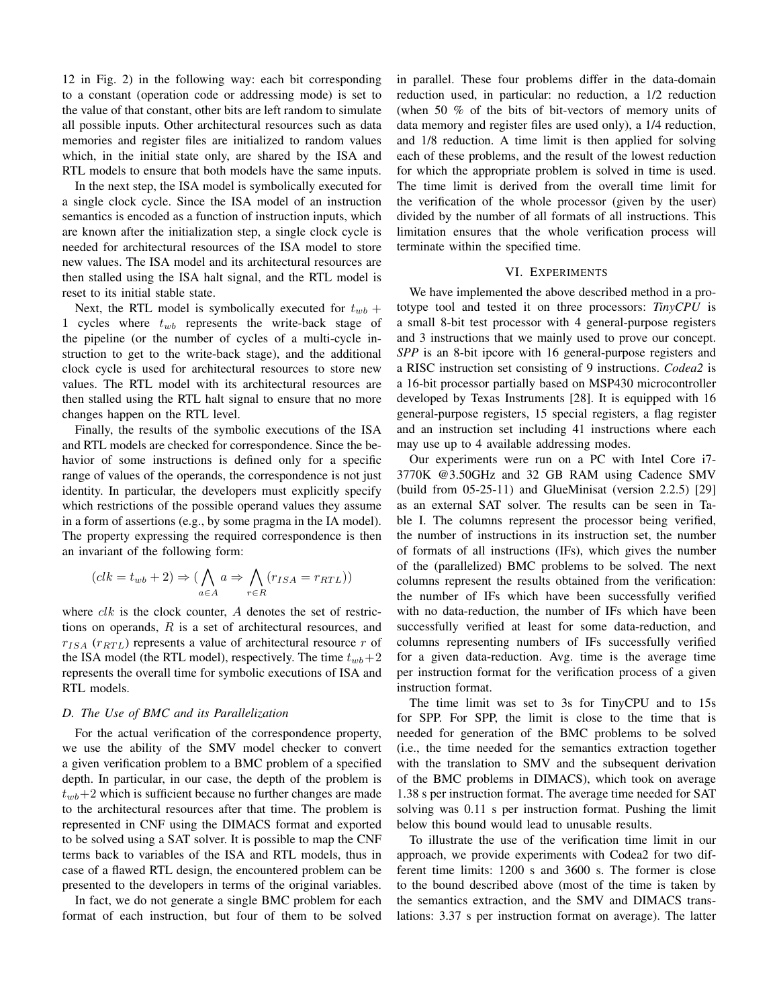12 in Fig. 2) in the following way: each bit corresponding to a constant (operation code or addressing mode) is set to the value of that constant, other bits are left random to simulate all possible inputs. Other architectural resources such as data memories and register files are initialized to random values which, in the initial state only, are shared by the ISA and RTL models to ensure that both models have the same inputs.

In the next step, the ISA model is symbolically executed for a single clock cycle. Since the ISA model of an instruction semantics is encoded as a function of instruction inputs, which are known after the initialization step, a single clock cycle is needed for architectural resources of the ISA model to store new values. The ISA model and its architectural resources are then stalled using the ISA halt signal, and the RTL model is reset to its initial stable state.

Next, the RTL model is symbolically executed for  $t_{wb}$  + 1 cycles where  $t_{wb}$  represents the write-back stage of the pipeline (or the number of cycles of a multi-cycle instruction to get to the write-back stage), and the additional clock cycle is used for architectural resources to store new values. The RTL model with its architectural resources are then stalled using the RTL halt signal to ensure that no more changes happen on the RTL level.

Finally, the results of the symbolic executions of the ISA and RTL models are checked for correspondence. Since the behavior of some instructions is defined only for a specific range of values of the operands, the correspondence is not just identity. In particular, the developers must explicitly specify which restrictions of the possible operand values they assume in a form of assertions (e.g., by some pragma in the IA model). The property expressing the required correspondence is then an invariant of the following form:

$$
(clk = t_{wb} + 2) \Rightarrow (\bigwedge_{a \in A} a \Rightarrow \bigwedge_{r \in R} (r_{ISA} = r_{RTL}))
$$

where  $clk$  is the clock counter,  $A$  denotes the set of restrictions on operands, R is a set of architectural resources, and  $r_{ISA}$  ( $r_{RTL}$ ) represents a value of architectural resource r of the ISA model (the RTL model), respectively. The time  $t_{wb}+2$ represents the overall time for symbolic executions of ISA and RTL models.

# *D. The Use of BMC and its Parallelization*

For the actual verification of the correspondence property, we use the ability of the SMV model checker to convert a given verification problem to a BMC problem of a specified depth. In particular, in our case, the depth of the problem is  $t_{wb}+2$  which is sufficient because no further changes are made to the architectural resources after that time. The problem is represented in CNF using the DIMACS format and exported to be solved using a SAT solver. It is possible to map the CNF terms back to variables of the ISA and RTL models, thus in case of a flawed RTL design, the encountered problem can be presented to the developers in terms of the original variables.

In fact, we do not generate a single BMC problem for each format of each instruction, but four of them to be solved in parallel. These four problems differ in the data-domain reduction used, in particular: no reduction, a 1/2 reduction (when 50 % of the bits of bit-vectors of memory units of data memory and register files are used only), a 1/4 reduction, and 1/8 reduction. A time limit is then applied for solving each of these problems, and the result of the lowest reduction for which the appropriate problem is solved in time is used. The time limit is derived from the overall time limit for the verification of the whole processor (given by the user) divided by the number of all formats of all instructions. This limitation ensures that the whole verification process will terminate within the specified time.

## VI. EXPERIMENTS

We have implemented the above described method in a prototype tool and tested it on three processors: *TinyCPU* is a small 8-bit test processor with 4 general-purpose registers and 3 instructions that we mainly used to prove our concept. *SPP* is an 8-bit ipcore with 16 general-purpose registers and a RISC instruction set consisting of 9 instructions. *Codea2* is a 16-bit processor partially based on MSP430 microcontroller developed by Texas Instruments [28]. It is equipped with 16 general-purpose registers, 15 special registers, a flag register and an instruction set including 41 instructions where each may use up to 4 available addressing modes.

Our experiments were run on a PC with Intel Core i7- 3770K @3.50GHz and 32 GB RAM using Cadence SMV (build from 05-25-11) and GlueMinisat (version 2.2.5) [29] as an external SAT solver. The results can be seen in Table I. The columns represent the processor being verified, the number of instructions in its instruction set, the number of formats of all instructions (IFs), which gives the number of the (parallelized) BMC problems to be solved. The next columns represent the results obtained from the verification: the number of IFs which have been successfully verified with no data-reduction, the number of IFs which have been successfully verified at least for some data-reduction, and columns representing numbers of IFs successfully verified for a given data-reduction. Avg. time is the average time per instruction format for the verification process of a given instruction format.

The time limit was set to 3s for TinyCPU and to 15s for SPP. For SPP, the limit is close to the time that is needed for generation of the BMC problems to be solved (i.e., the time needed for the semantics extraction together with the translation to SMV and the subsequent derivation of the BMC problems in DIMACS), which took on average 1.38 s per instruction format. The average time needed for SAT solving was 0.11 s per instruction format. Pushing the limit below this bound would lead to unusable results.

To illustrate the use of the verification time limit in our approach, we provide experiments with Codea2 for two different time limits: 1200 s and 3600 s. The former is close to the bound described above (most of the time is taken by the semantics extraction, and the SMV and DIMACS translations: 3.37 s per instruction format on average). The latter